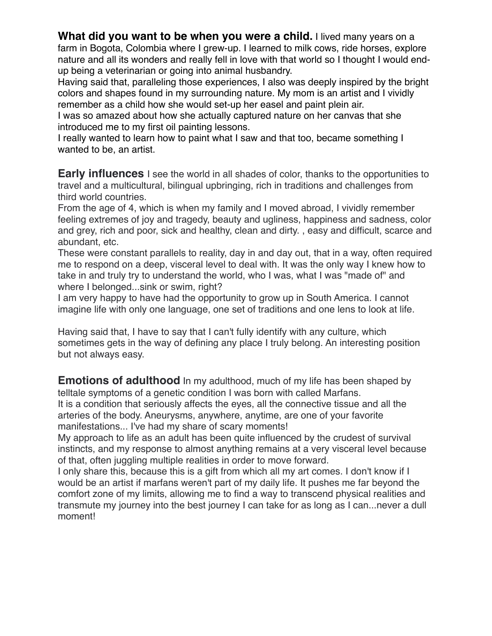**What did you want to be when you were a child.** I lived many years on a farm in Bogota, Colombia where I grew-up. I learned to milk cows, ride horses, explore nature and all its wonders and really fell in love with that world so I thought I would endup being a veterinarian or going into animal husbandry.

Having said that, paralleling those experiences, I also was deeply inspired by the bright colors and shapes found in my surrounding nature. My mom is an artist and I vividly remember as a child how she would set-up her easel and paint plein air.

I was so amazed about how she actually captured nature on her canvas that she introduced me to my first oil painting lessons.

I really wanted to learn how to paint what I saw and that too, became something I wanted to be, an artist.

**Early influences** I see the world in all shades of color, thanks to the opportunities to travel and a multicultural, bilingual upbringing, rich in traditions and challenges from third world countries.

From the age of 4, which is when my family and I moved abroad, I vividly remember feeling extremes of joy and tragedy, beauty and ugliness, happiness and sadness, color and grey, rich and poor, sick and healthy, clean and dirty. , easy and difficult, scarce and abundant, etc.

These were constant parallels to reality, day in and day out, that in a way, often required me to respond on a deep, visceral level to deal with. It was the only way I knew how to take in and truly try to understand the world, who I was, what I was "made of" and where I belonged...sink or swim, right?

I am very happy to have had the opportunity to grow up in South America. I cannot imagine life with only one language, one set of traditions and one lens to look at life.

Having said that, I have to say that I can't fully identify with any culture, which sometimes gets in the way of defining any place I truly belong. An interesting position but not always easy.

**Emotions of adulthood** In my adulthood, much of my life has been shaped by telltale symptoms of a genetic condition I was born with called Marfans. It is a condition that seriously affects the eyes, all the connective tissue and all the arteries of the body. Aneurysms, anywhere, anytime, are one of your favorite manifestations... I've had my share of scary moments!

My approach to life as an adult has been quite influenced by the crudest of survival instincts, and my response to almost anything remains at a very visceral level because of that, often juggling multiple realities in order to move forward.

I only share this, because this is a gift from which all my art comes. I don't know if I would be an artist if marfans weren't part of my daily life. It pushes me far beyond the comfort zone of my limits, allowing me to find a way to transcend physical realities and transmute my journey into the best journey I can take for as long as I can...never a dull moment!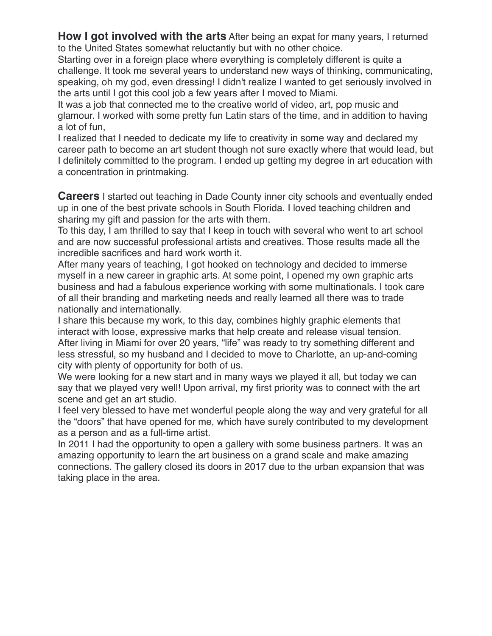**How I got involved with the arts** After being an expat for many years, I returned to the United States somewhat reluctantly but with no other choice.

Starting over in a foreign place where everything is completely different is quite a challenge. It took me several years to understand new ways of thinking, communicating, speaking, oh my god, even dressing! I didn't realize I wanted to get seriously involved in the arts until I got this cool job a few years after I moved to Miami.

It was a job that connected me to the creative world of video, art, pop music and glamour. I worked with some pretty fun Latin stars of the time, and in addition to having a lot of fun,

I realized that I needed to dedicate my life to creativity in some way and declared my career path to become an art student though not sure exactly where that would lead, but I definitely committed to the program. I ended up getting my degree in art education with a concentration in printmaking.

**Careers** I started out teaching in Dade County inner city schools and eventually ended up in one of the best private schools in South Florida. I loved teaching children and sharing my gift and passion for the arts with them.

To this day, I am thrilled to say that I keep in touch with several who went to art school and are now successful professional artists and creatives. Those results made all the incredible sacrifices and hard work worth it.

After many years of teaching, I got hooked on technology and decided to immerse myself in a new career in graphic arts. At some point, I opened my own graphic arts business and had a fabulous experience working with some multinationals. I took care of all their branding and marketing needs and really learned all there was to trade nationally and internationally.

I share this because my work, to this day, combines highly graphic elements that interact with loose, expressive marks that help create and release visual tension. After living in Miami for over 20 years, "life" was ready to try something different and less stressful, so my husband and I decided to move to Charlotte, an up-and-coming city with plenty of opportunity for both of us.

We were looking for a new start and in many ways we played it all, but today we can say that we played very well! Upon arrival, my first priority was to connect with the art scene and get an art studio.

I feel very blessed to have met wonderful people along the way and very grateful for all the "doors" that have opened for me, which have surely contributed to my development as a person and as a full-time artist.

In 2011 I had the opportunity to open a gallery with some business partners. It was an amazing opportunity to learn the art business on a grand scale and make amazing connections. The gallery closed its doors in 2017 due to the urban expansion that was taking place in the area.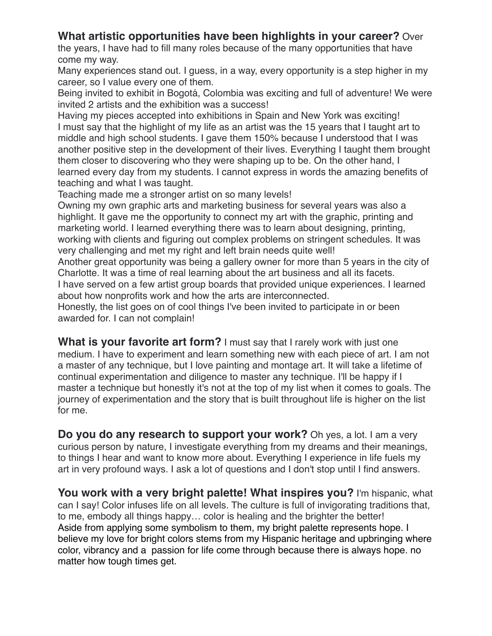# **What artistic opportunities have been highlights in your career?** Over

the years, I have had to fill many roles because of the many opportunities that have come my way.

Many experiences stand out. I guess, in a way, every opportunity is a step higher in my career, so I value every one of them.

Being invited to exhibit in Bogotá, Colombia was exciting and full of adventure! We were invited 2 artists and the exhibition was a success!

Having my pieces accepted into exhibitions in Spain and New York was exciting! I must say that the highlight of my life as an artist was the 15 years that I taught art to middle and high school students. I gave them 150% because I understood that I was another positive step in the development of their lives. Everything I taught them brought them closer to discovering who they were shaping up to be. On the other hand, I learned every day from my students. I cannot express in words the amazing benefits of teaching and what I was taught.

Teaching made me a stronger artist on so many levels!

Owning my own graphic arts and marketing business for several years was also a highlight. It gave me the opportunity to connect my art with the graphic, printing and marketing world. I learned everything there was to learn about designing, printing, working with clients and figuring out complex problems on stringent schedules. It was very challenging and met my right and left brain needs quite well!

Another great opportunity was being a gallery owner for more than 5 years in the city of Charlotte. It was a time of real learning about the art business and all its facets.

I have served on a few artist group boards that provided unique experiences. I learned about how nonprofits work and how the arts are interconnected.

Honestly, the list goes on of cool things I've been invited to participate in or been awarded for. I can not complain!

**What is your favorite art form?** I must say that I rarely work with just one medium. I have to experiment and learn something new with each piece of art. I am not a master of any technique, but I love painting and montage art. It will take a lifetime of continual experimentation and diligence to master any technique. I'll be happy if I master a technique but honestly it's not at the top of my list when it comes to goals. The journey of experimentation and the story that is built throughout life is higher on the list for me.

**Do you do any research to support your work?** Oh yes, a lot. I am a very curious person by nature, I investigate everything from my dreams and their meanings, to things I hear and want to know more about. Everything I experience in life fuels my art in very profound ways. I ask a lot of questions and I don't stop until I find answers.

**You work with a very bright palette! What inspires you?** I'm hispanic, what can I say! Color infuses life on all levels. The culture is full of invigorating traditions that, to me, embody all things happy… color is healing and the brighter the better! Aside from applying some symbolism to them, my bright palette represents hope. I believe my love for bright colors stems from my Hispanic heritage and upbringing where color, vibrancy and a passion for life come through because there is always hope. no matter how tough times get.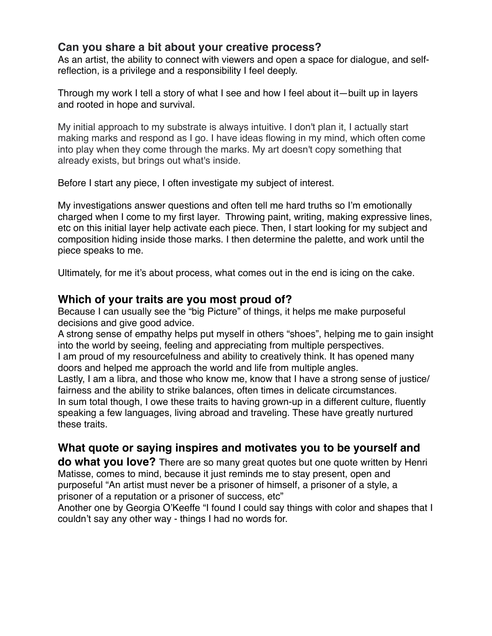## **Can you share a bit about your creative process?**

As an artist, the ability to connect with viewers and open a space for dialogue, and selfreflection, is a privilege and a responsibility I feel deeply.

Through my work I tell a story of what I see and how I feel about it—built up in layers and rooted in hope and survival.

My initial approach to my substrate is always intuitive. I don't plan it, I actually start making marks and respond as I go. I have ideas flowing in my mind, which often come into play when they come through the marks. My art doesn't copy something that already exists, but brings out what's inside.

Before I start any piece, I often investigate my subject of interest.

My investigations answer questions and often tell me hard truths so I'm emotionally charged when I come to my first layer. Throwing paint, writing, making expressive lines, etc on this initial layer help activate each piece. Then, I start looking for my subject and composition hiding inside those marks. I then determine the palette, and work until the piece speaks to me.

Ultimately, for me it's about process, what comes out in the end is icing on the cake.

## **Which of your traits are you most proud of?**

Because I can usually see the "big Picture" of things, it helps me make purposeful decisions and give good advice.

A strong sense of empathy helps put myself in others "shoes", helping me to gain insight into the world by seeing, feeling and appreciating from multiple perspectives.

I am proud of my resourcefulness and ability to creatively think. It has opened many doors and helped me approach the world and life from multiple angles.

Lastly, I am a libra, and those who know me, know that I have a strong sense of justice/ fairness and the ability to strike balances, often times in delicate circumstances. In sum total though, I owe these traits to having grown-up in a different culture, fluently speaking a few languages, living abroad and traveling. These have greatly nurtured

these traits.

# **What quote or saying inspires and motivates you to be yourself and**

**do what you love?** There are so many great quotes but one quote written by Henri Matisse, comes to mind, because it just reminds me to stay present, open and purposeful "An artist must never be a prisoner of himself, a prisoner of a style, a prisoner of a reputation or a prisoner of success, etc"

Another one by Georgia O'Keeffe "I found I could say things with color and shapes that I couldn't say any other way - things I had no words for.